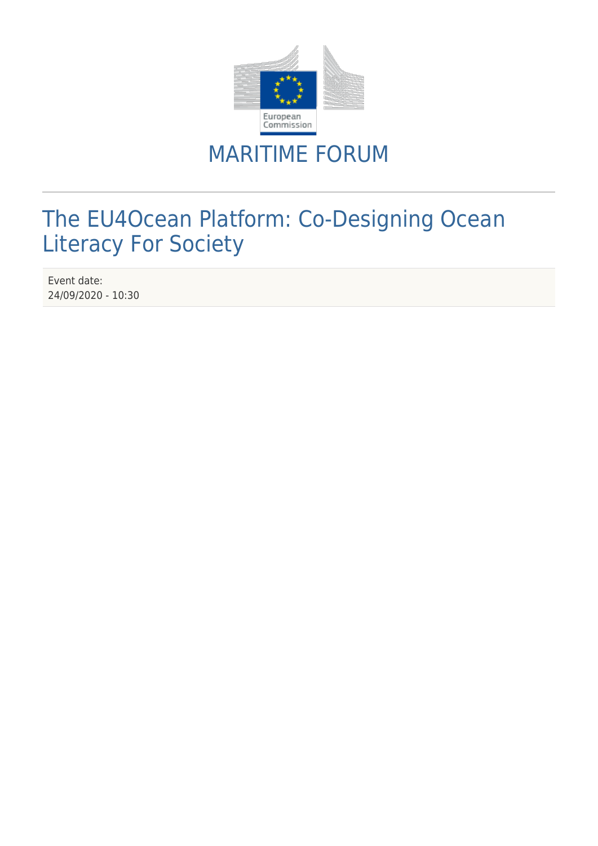

## MARITIME FORUM

## The EU4Ocean Platform: Co-Designing Ocean Literacy For Society

Event date: 24/09/2020 - 10:30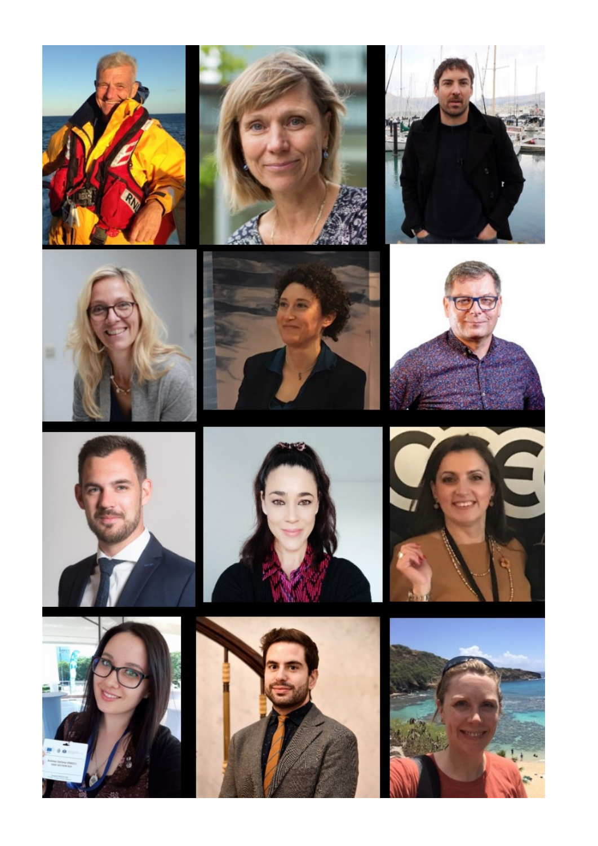





















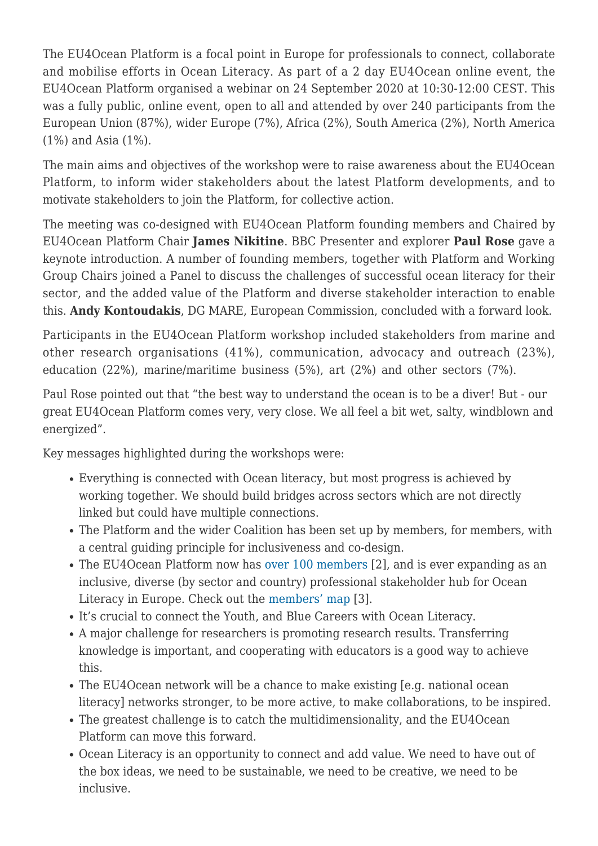The EU4Ocean Platform is a focal point in Europe for professionals to connect, collaborate and mobilise efforts in Ocean Literacy. As part of a 2 day EU4Ocean online event, the EU4Ocean Platform organised a webinar on 24 September 2020 at 10:30-12:00 CEST. This was a fully public, online event, open to all and attended by over 240 participants from the European Union (87%), wider Europe (7%), Africa (2%), South America (2%), North America (1%) and Asia (1%).

The main aims and objectives of the workshop were to raise awareness about the EU4Ocean Platform, to inform wider stakeholders about the latest Platform developments, and to motivate stakeholders to join the Platform, for collective action.

The meeting was co-designed with EU4Ocean Platform founding members and Chaired by EU4Ocean Platform Chair **James Nikitine**. BBC Presenter and explorer **Paul Rose** gave a keynote introduction. A number of founding members, together with Platform and Working Group Chairs joined a Panel to discuss the challenges of successful ocean literacy for their sector, and the added value of the Platform and diverse stakeholder interaction to enable this. **Andy Kontoudakis**, DG MARE, European Commission, concluded with a forward look.

Participants in the EU4Ocean Platform workshop included stakeholders from marine and other research organisations (41%), communication, advocacy and outreach (23%), education (22%), marine/maritime business (5%), art (2%) and other sectors (7%).

Paul Rose pointed out that "the best way to understand the ocean is to be a diver! But - our great EU4Ocean Platform comes very, very close. We all feel a bit wet, salty, windblown and energized".

Key messages highlighted during the workshops were:

- Everything is connected with Ocean literacy, but most progress is achieved by working together. We should build bridges across sectors which are not directly linked but could have multiple connections.
- The Platform and the wider Coalition has been set up by members, for members, with a central guiding principle for inclusiveness and co-design.
- The EU4Ocean Platform now has [over 100 members](https://webgate.ec.europa.eu/maritimeforum/en/node/4480/platform_members) [2], and is ever expanding as an inclusive, diverse (by sector and country) professional stakeholder hub for Ocean Literacy in Europe. Check out the [members' map](https://ec.europa.eu/maritimeaffairs/atlas/maritime_atlas/#lang=EN;p=w;bkgd=5;theme=354:0.8;c=926104.2403007429,6377788.263673515;z=5;e=t) [3].
- It's crucial to connect the Youth, and Blue Careers with Ocean Literacy.
- A major challenge for researchers is promoting research results. Transferring knowledge is important, and cooperating with educators is a good way to achieve this.
- The EU4Ocean network will be a chance to make existing [e.g. national ocean literacy] networks stronger, to be more active, to make collaborations, to be inspired.
- The greatest challenge is to catch the multidimensionality, and the EU4Ocean Platform can move this forward.
- Ocean Literacy is an opportunity to connect and add value. We need to have out of the box ideas, we need to be sustainable, we need to be creative, we need to be inclusive.